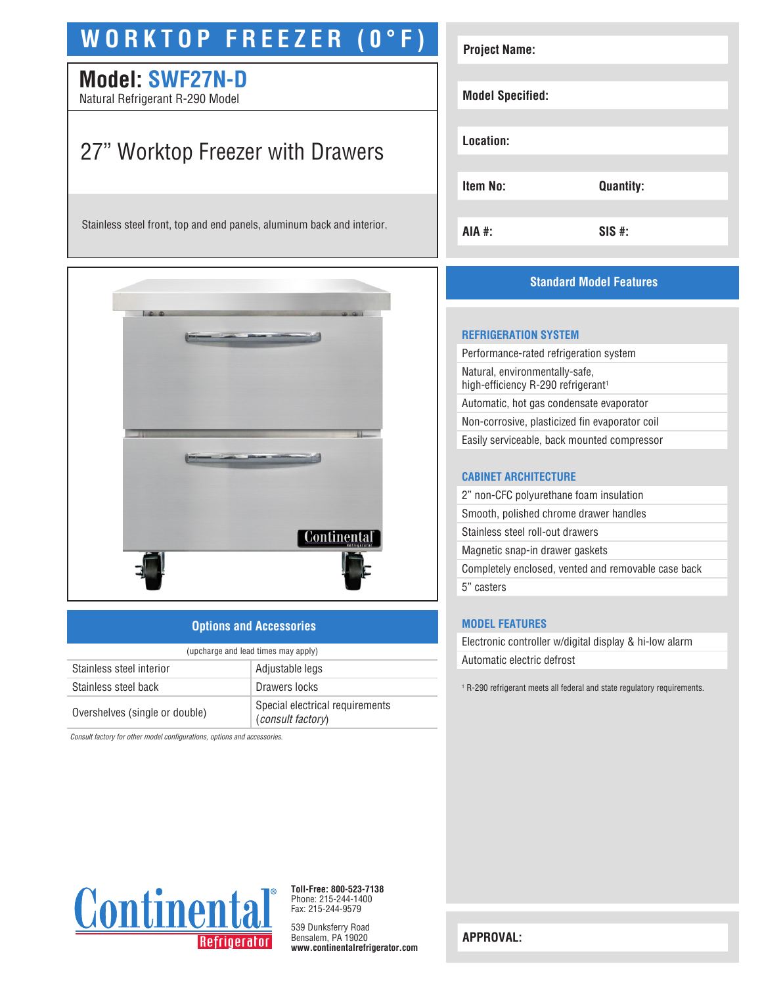# **WORKTOP FREEZER (0°F)**

# **Model: SWF27N-D**

Natural Refrigerant R-290 Model

# 27" Worktop Freezer with Drawers

Stainless steel front, top and end panels, aluminum back and interior.



#### **Options and Accessories**

| (upcharge and lead times may apply) |                                                      |  |
|-------------------------------------|------------------------------------------------------|--|
| Stainless steel interior            | Adjustable legs                                      |  |
| Stainless steel back                | Drawers locks                                        |  |
| Overshelves (single or double)      | Special electrical requirements<br>(consult factory) |  |

*Consult factory for other model configurations, options and accessories.*

| <b>Project Name:</b>    |                  |  |
|-------------------------|------------------|--|
| <b>Model Specified:</b> |                  |  |
| Location:               |                  |  |
| Item No:                | <b>Quantity:</b> |  |
| AIA #:                  | $SIS$ #:         |  |

### **Standard Model Features**

#### **REFRIGERATION SYSTEM**

Performance-rated refrigeration system Natural, environmentally-safe, high-efficiency R-290 refrigerant<sup>1</sup> Automatic, hot gas condensate evaporator Non-corrosive, plasticized fin evaporator coil Easily serviceable, back mounted compressor

#### **CABINET ARCHITECTURE**

2" non-CFC polyurethane foam insulation Smooth, polished chrome drawer handles Stainless steel roll-out drawers Magnetic snap-in drawer gaskets Completely enclosed, vented and removable case back 5" casters

#### **MODEL FEATURES**

Electronic controller w/digital display & hi-low alarm Automatic electric defrost

<sup>1</sup> R-290 refrigerant meets all federal and state regulatory requirements.



**Toll-Free: 800-523-7138** Phone: 215-244-1400 Fax: 215-244-9579

539 Dunksferry Road Bensalem, PA 19020 **www.continentalrefrigerator.com** 

**APPROVAL:**